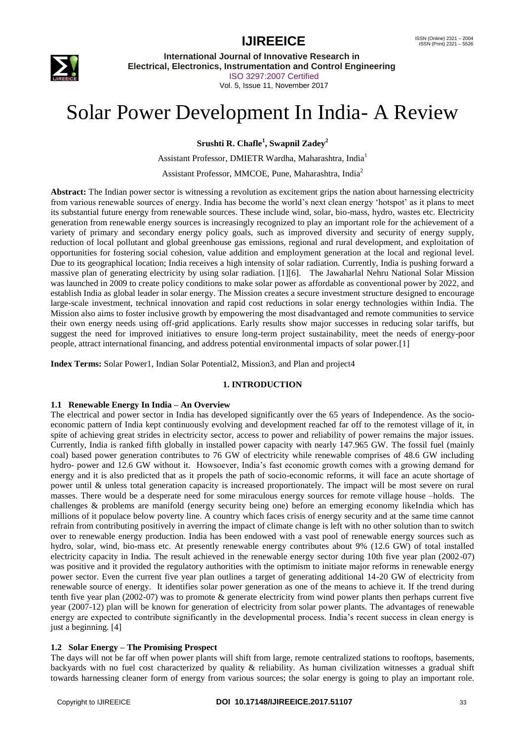

**International Journal of Innovative Research in Electrical, Electronics, Instrumentation and Control Engineering** ISO 3297:2007 Certified Vol. 5, Issue 11, November 2017

# Solar Power Development In India- A Review

**Srushti R. Chafle<sup>1</sup> , Swapnil Zadey<sup>2</sup>**

Assistant Professor, DMIETR Wardha, Maharashtra, India<sup>1</sup>

Assistant Professor, MMCOE, Pune, Maharashtra, India<sup>2</sup>

**Abstract:** The Indian power sector is witnessing a revolution as excitement grips the nation about harnessing electricity from various renewable sources of energy. India has become the world"s next clean energy "hotspot" as it plans to meet its substantial future energy from renewable sources. These include wind, solar, bio-mass, hydro, wastes etc. Electricity generation from renewable energy sources is increasingly recognized to play an important role for the achievement of a variety of primary and secondary energy policy goals, such as improved diversity and security of energy supply, reduction of local pollutant and global greenhouse gas emissions, regional and rural development, and exploitation of opportunities for fostering social cohesion, value addition and employment generation at the local and regional level. Due to its geographical location; India receives a high intensity of solar radiation. Currently, India is pushing forward a massive plan of generating electricity by using solar radiation. [1][6]. The Jawaharlal Nehru National Solar Mission was launched in 2009 to create policy conditions to make solar power as affordable as conventional power by 2022, and establish India as global leader in solar energy. The Mission creates a secure investment structure designed to encourage large-scale investment, technical innovation and rapid cost reductions in solar energy technologies within India. The Mission also aims to foster inclusive growth by empowering the most disadvantaged and remote communities to service their own energy needs using off-grid applications. Early results show major successes in reducing solar tariffs, but suggest the need for improved initiatives to ensure long-term project sustainability, meet the needs of energy-poor people, attract international financing, and address potential environmental impacts of solar power.[1]

**Index Terms:** Solar Power1, Indian Solar Potential2, Mission3, and Plan and project4

### **1. INTRODUCTION**

### **1.1 Renewable Energy In India – An Overview**

The electrical and power sector in India has developed significantly over the 65 years of Independence. As the socioeconomic pattern of India kept continuously evolving and development reached far off to the remotest village of it, in spite of achieving great strides in electricity sector, access to power and reliability of power remains the major issues. Currently, India is ranked fifth globally in installed power capacity with nearly 147.965 GW. The fossil fuel (mainly coal) based power generation contributes to 76 GW of electricity while renewable comprises of 48.6 GW including hydro- power and 12.6 GW without it. Howsoever, India"s fast economic growth comes with a growing demand for energy and it is also predicted that as it propels the path of socio-economic reforms, it will face an acute shortage of power until & unless total generation capacity is increased proportionately. The impact will be most severe on rural masses. There would be a desperate need for some miraculous energy sources for remote village house –holds. The challenges & problems are manifold (energy security being one) before an emerging economy likeIndia which has millions of it populace below poverty line. A country which faces crisis of energy security and at the same time cannot refrain from contributing positively in averring the impact of climate change is left with no other solution than to switch over to renewable energy production. India has been endowed with a vast pool of renewable energy sources such as hydro, solar, wind, bio-mass etc. At presently renewable energy contributes about 9% (12.6 GW) of total installed electricity capacity in India. The result achieved in the renewable energy sector during 10th five year plan (2002-07) was positive and it provided the regulatory authorities with the optimism to initiate major reforms in renewable energy power sector. Even the current five year plan outlines a target of generating additional 14-20 GW of electricity from renewable source of energy. It identifies solar power generation as one of the means to achieve it. If the trend during tenth five year plan (2002-07) was to promote & generate electricity from wind power plants then perhaps current five year (2007-12) plan will be known for generation of electricity from solar power plants. The advantages of renewable energy are expected to contribute significantly in the developmental process. India"s recent success in clean energy is just a beginning. [4]

# **1.2 Solar Energy – The Promising Prospect**

The days will not be far off when power plants will shift from large, remote centralized stations to rooftops, basements, backyards with no fuel cost characterized by quality & reliability. As human civilization witnesses a gradual shift towards harnessing cleaner form of energy from various sources; the solar energy is going to play an important role.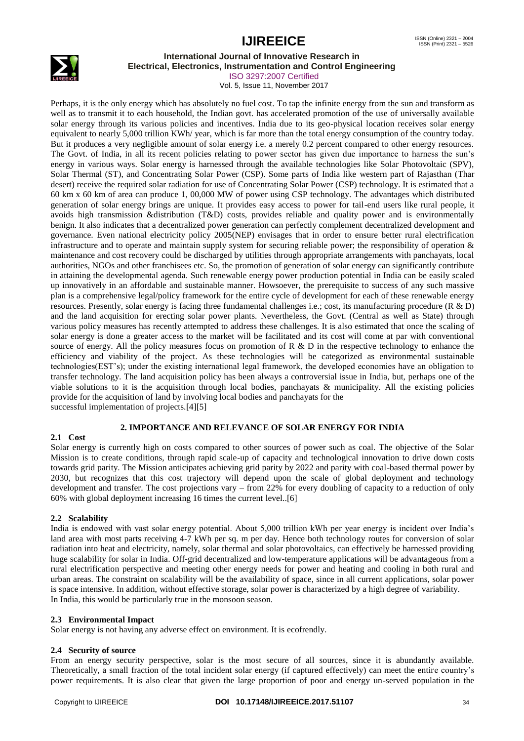

#### **International Journal of Innovative Research in Electrical, Electronics, Instrumentation and Control Engineering**

ISO 3297:2007 Certified

Vol. 5, Issue 11, November 2017

Perhaps, it is the only energy which has absolutely no fuel cost. To tap the infinite energy from the sun and transform as well as to transmit it to each household, the Indian govt. has accelerated promotion of the use of universally available solar energy through its various policies and incentives. India due to its geo-physical location receives solar energy equivalent to nearly 5,000 trillion KWh/ year, which is far more than the total energy consumption of the country today. But it produces a very negligible amount of solar energy i.e. a merely 0.2 percent compared to other energy resources. The Govt. of India, in all its recent policies relating to power sector has given due importance to harness the sun"s energy in various ways. Solar energy is harnessed through the available technologies like Solar Photovoltaic (SPV), Solar Thermal (ST), and Concentrating Solar Power (CSP). Some parts of India like western part of Rajasthan (Thar desert) receive the required solar radiation for use of Concentrating Solar Power (CSP) technology. It is estimated that a 60 km x 60 km of area can produce 1, 00,000 MW of power using CSP technology. The advantages which distributed generation of solar energy brings are unique. It provides easy access to power for tail-end users like rural people, it avoids high transmission &distribution (T&D) costs, provides reliable and quality power and is environmentally benign. It also indicates that a decentralized power generation can perfectly complement decentralized development and governance. Even national electricity policy 2005(NEP) envisages that in order to ensure better rural electrification infrastructure and to operate and maintain supply system for securing reliable power; the responsibility of operation & maintenance and cost recovery could be discharged by utilities through appropriate arrangements with panchayats, local authorities, NGOs and other franchisees etc. So, the promotion of generation of solar energy can significantly contribute in attaining the developmental agenda. Such renewable energy power production potential in India can be easily scaled up innovatively in an affordable and sustainable manner. Howsoever, the prerequisite to success of any such massive plan is a comprehensive legal/policy framework for the entire cycle of development for each of these renewable energy resources. Presently, solar energy is facing three fundamental challenges i.e.; cost, its manufacturing procedure (R & D) and the land acquisition for erecting solar power plants. Nevertheless, the Govt. (Central as well as State) through various policy measures has recently attempted to address these challenges. It is also estimated that once the scaling of solar energy is done a greater access to the market will be facilitated and its cost will come at par with conventional source of energy. All the policy measures focus on promotion of R  $\&$  D in the respective technology to enhance the efficiency and viability of the project. As these technologies will be categorized as environmental sustainable technologies(EST"s); under the existing international legal framework, the developed economies have an obligation to transfer technology. The land acquisition policy has been always a controversial issue in India, but, perhaps one of the viable solutions to it is the acquisition through local bodies, panchayats & municipality. All the existing policies provide for the acquisition of land by involving local bodies and panchayats for the successful implementation of projects.[4][5]

# **2. IMPORTANCE AND RELEVANCE OF SOLAR ENERGY FOR INDIA**

# **2.1 Cost**

Solar energy is currently high on costs compared to other sources of power such as coal. The objective of the Solar Mission is to create conditions, through rapid scale-up of capacity and technological innovation to drive down costs towards grid parity. The Mission anticipates achieving grid parity by 2022 and parity with coal-based thermal power by 2030, but recognizes that this cost trajectory will depend upon the scale of global deployment and technology development and transfer. The cost projections vary – from 22% for every doubling of capacity to a reduction of only 60% with global deployment increasing 16 times the current level..[6]

# **2.2 Scalability**

India is endowed with vast solar energy potential. About 5,000 trillion kWh per year energy is incident over India"s land area with most parts receiving 4-7 kWh per sq. m per day. Hence both technology routes for conversion of solar radiation into heat and electricity, namely, solar thermal and solar photovoltaics, can effectively be harnessed providing huge scalability for solar in India. Off-grid decentralized and low-temperature applications will be advantageous from a rural electrification perspective and meeting other energy needs for power and heating and cooling in both rural and urban areas. The constraint on scalability will be the availability of space, since in all current applications, solar power is space intensive. In addition, without effective storage, solar power is characterized by a high degree of variability. In India, this would be particularly true in the monsoon season.

### **2.3 Environmental Impact**

Solar energy is not having any adverse effect on environment. It is ecofrendly.

### **2.4 Security of source**

From an energy security perspective, solar is the most secure of all sources, since it is abundantly available. Theoretically, a small fraction of the total incident solar energy (if captured effectively) can meet the entire country"s power requirements. It is also clear that given the large proportion of poor and energy un-served population in the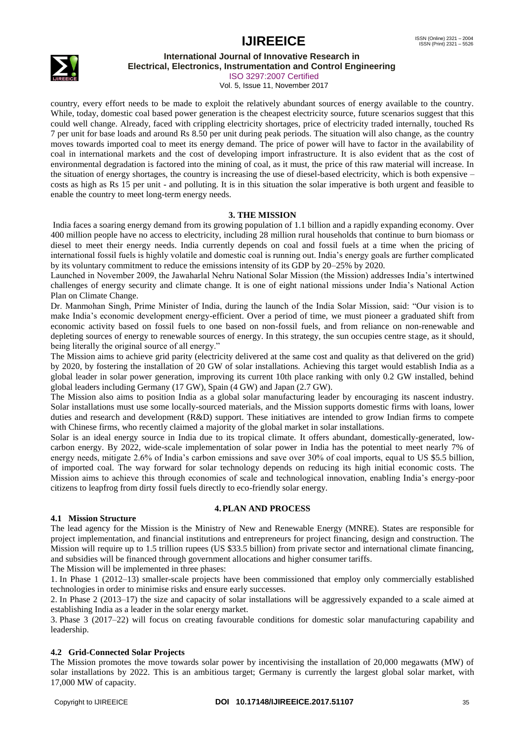

**International Journal of Innovative Research in**

**Electrical, Electronics, Instrumentation and Control Engineering**

ISO 3297:2007 Certified Vol. 5, Issue 11, November 2017

country, every effort needs to be made to exploit the relatively abundant sources of energy available to the country. While, today, domestic coal based power generation is the cheapest electricity source, future scenarios suggest that this could well change. Already, faced with crippling electricity shortages, price of electricity traded internally, touched Rs 7 per unit for base loads and around Rs 8.50 per unit during peak periods. The situation will also change, as the country moves towards imported coal to meet its energy demand. The price of power will have to factor in the availability of coal in international markets and the cost of developing import infrastructure. It is also evident that as the cost of environmental degradation is factored into the mining of coal, as it must, the price of this raw material will increase. In the situation of energy shortages, the country is increasing the use of diesel-based electricity, which is both expensive – costs as high as Rs 15 per unit - and polluting. It is in this situation the solar imperative is both urgent and feasible to enable the country to meet long-term energy needs.

# **3. THE MISSION**

India faces a soaring energy demand from its growing population of 1.1 billion and a rapidly expanding economy. Over 400 million people have no access to electricity, including 28 million rural households that continue to burn biomass or diesel to meet their energy needs. India currently depends on coal and fossil fuels at a time when the pricing of international fossil fuels is highly volatile and domestic coal is running out. India"s energy goals are further complicated by its voluntary commitment to reduce the emissions intensity of its GDP by 20–25% by 2020.

Launched in November 2009, the Jawaharlal Nehru National Solar Mission (the Mission) addresses India"s intertwined challenges of energy security and climate change. It is one of eight national missions under India"s National Action Plan on Climate Change.

Dr. Manmohan Singh, Prime Minister of India, during the launch of the India Solar Mission, said: "Our vision is to make India"s economic development energy-efficient. Over a period of time, we must pioneer a graduated shift from economic activity based on fossil fuels to one based on non-fossil fuels, and from reliance on non-renewable and depleting sources of energy to renewable sources of energy. In this strategy, the sun occupies centre stage, as it should, being literally the original source of all energy."

The Mission aims to achieve grid parity (electricity delivered at the same cost and quality as that delivered on the grid) by 2020, by fostering the installation of 20 GW of solar installations. Achieving this target would establish India as a global leader in solar power generation, improving its current 10th place ranking with only 0.2 GW installed, behind global leaders including Germany (17 GW), Spain (4 GW) and Japan (2.7 GW).

The Mission also aims to position India as a global solar manufacturing leader by encouraging its nascent industry. Solar installations must use some locally-sourced materials, and the Mission supports domestic firms with loans, lower duties and research and development (R&D) support. These initiatives are intended to grow Indian firms to compete with Chinese firms, who recently claimed a majority of the global market in solar installations.

Solar is an ideal energy source in India due to its tropical climate. It offers abundant, domestically-generated, lowcarbon energy. By 2022, wide-scale implementation of solar power in India has the potential to meet nearly 7% of energy needs, mitigate 2.6% of India"s carbon emissions and save over 30% of coal imports, equal to US \$5.5 billion, of imported coal. The way forward for solar technology depends on reducing its high initial economic costs. The Mission aims to achieve this through economies of scale and technological innovation, enabling India"s energy-poor citizens to leapfrog from dirty fossil fuels directly to eco-friendly solar energy.

### **4.PLAN AND PROCESS**

### **4.1 Mission Structure**

The lead agency for the Mission is the Ministry of New and Renewable Energy (MNRE). States are responsible for project implementation, and financial institutions and entrepreneurs for project financing, design and construction. The Mission will require up to 1.5 trillion rupees (US \$33.5 billion) from private sector and international climate financing, and subsidies will be financed through government allocations and higher consumer tariffs.

The Mission will be implemented in three phases:

1. In Phase 1 (2012–13) smaller-scale projects have been commissioned that employ only commercially established technologies in order to minimise risks and ensure early successes.

2. In Phase 2 (2013–17) the size and capacity of solar installations will be aggressively expanded to a scale aimed at establishing India as a leader in the solar energy market.

3. Phase 3 (2017–22) will focus on creating favourable conditions for domestic solar manufacturing capability and leadership.

# **4.2 Grid-Connected Solar Projects**

The Mission promotes the move towards solar power by incentivising the installation of 20,000 megawatts (MW) of solar installations by 2022. This is an ambitious target; Germany is currently the largest global solar market, with 17,000 MW of capacity.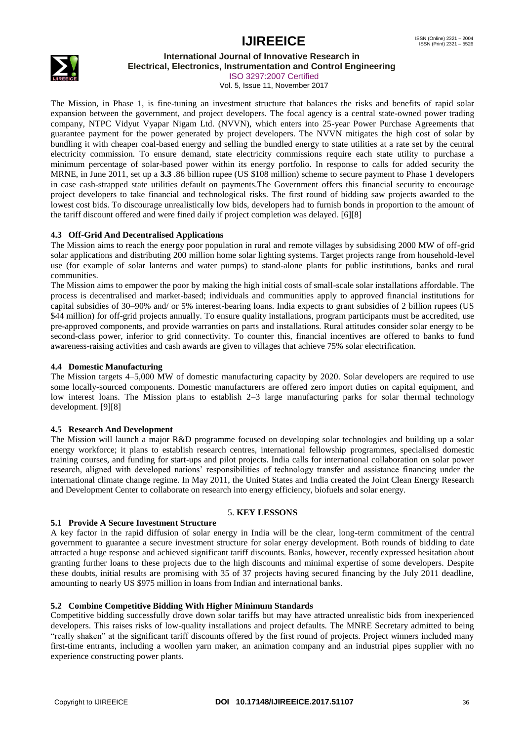

# **International Journal of Innovative Research in**

**Electrical, Electronics, Instrumentation and Control Engineering** ISO 3297:2007 Certified

Vol. 5, Issue 11, November 2017

The Mission, in Phase 1, is fine-tuning an investment structure that balances the risks and benefits of rapid solar expansion between the government, and project developers. The focal agency is a central state-owned power trading company, NTPC Vidyut Vyapar Nigam Ltd. (NVVN), which enters into 25-year Power Purchase Agreements that guarantee payment for the power generated by project developers. The NVVN mitigates the high cost of solar by bundling it with cheaper coal-based energy and selling the bundled energy to state utilities at a rate set by the central electricity commission. To ensure demand, state electricity commissions require each state utility to purchase a minimum percentage of solar-based power within its energy portfolio. In response to calls for added security the MRNE, in June 2011, set up a **3.3** .86 billion rupee (US \$108 million) scheme to secure payment to Phase 1 developers in case cash-strapped state utilities default on payments.The Government offers this financial security to encourage project developers to take financial and technological risks. The first round of bidding saw projects awarded to the lowest cost bids. To discourage unrealistically low bids, developers had to furnish bonds in proportion to the amount of the tariff discount offered and were fined daily if project completion was delayed. [6][8]

# **4.3 Off-Grid And Decentralised Applications**

The Mission aims to reach the energy poor population in rural and remote villages by subsidising 2000 MW of off-grid solar applications and distributing 200 million home solar lighting systems. Target projects range from household-level use (for example of solar lanterns and water pumps) to stand-alone plants for public institutions, banks and rural communities.

The Mission aims to empower the poor by making the high initial costs of small-scale solar installations affordable. The process is decentralised and market-based; individuals and communities apply to approved financial institutions for capital subsidies of 30–90% and/ or 5% interest-bearing loans. India expects to grant subsidies of 2 billion rupees (US \$44 million) for off-grid projects annually. To ensure quality installations, program participants must be accredited, use pre-approved components, and provide warranties on parts and installations. Rural attitudes consider solar energy to be second-class power, inferior to grid connectivity. To counter this, financial incentives are offered to banks to fund awareness-raising activities and cash awards are given to villages that achieve 75% solar electrification.

# **4.4 Domestic Manufacturing**

The Mission targets 4–5,000 MW of domestic manufacturing capacity by 2020. Solar developers are required to use some locally-sourced components. Domestic manufacturers are offered zero import duties on capital equipment, and low interest loans. The Mission plans to establish 2–3 large manufacturing parks for solar thermal technology development. [9][8]

### **4.5 Research And Development**

The Mission will launch a major R&D programme focused on developing solar technologies and building up a solar energy workforce; it plans to establish research centres, international fellowship programmes, specialised domestic training courses, and funding for start-ups and pilot projects. India calls for international collaboration on solar power research, aligned with developed nations" responsibilities of technology transfer and assistance financing under the international climate change regime. In May 2011, the United States and India created the Joint Clean Energy Research and Development Center to collaborate on research into energy efficiency, biofuels and solar energy.

### 5. **KEY LESSONS**

### **5.1 Provide A Secure Investment Structure**

A key factor in the rapid diffusion of solar energy in India will be the clear, long-term commitment of the central government to guarantee a secure investment structure for solar energy development. Both rounds of bidding to date attracted a huge response and achieved significant tariff discounts. Banks, however, recently expressed hesitation about granting further loans to these projects due to the high discounts and minimal expertise of some developers. Despite these doubts, initial results are promising with 35 of 37 projects having secured financing by the July 2011 deadline, amounting to nearly US \$975 million in loans from Indian and international banks.

# **5.2 Combine Competitive Bidding With Higher Minimum Standards**

Competitive bidding successfully drove down solar tariffs but may have attracted unrealistic bids from inexperienced developers. This raises risks of low-quality installations and project defaults. The MNRE Secretary admitted to being "really shaken" at the significant tariff discounts offered by the first round of projects. Project winners included many first-time entrants, including a woollen yarn maker, an animation company and an industrial pipes supplier with no experience constructing power plants.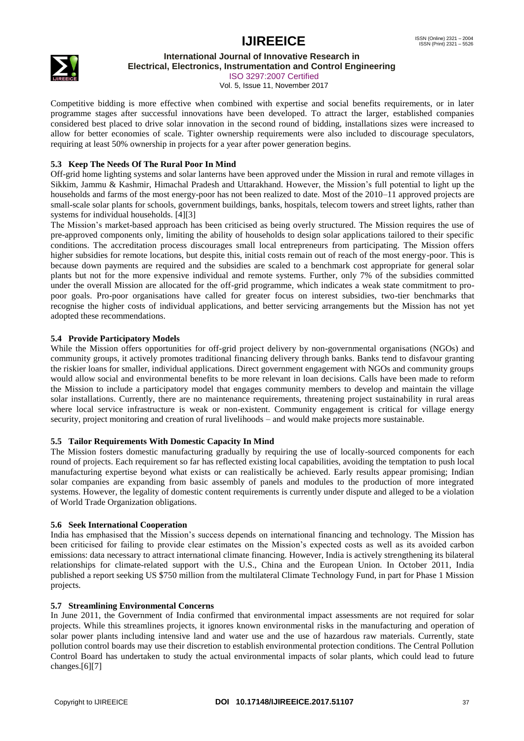

**International Journal of Innovative Research in**

**Electrical, Electronics, Instrumentation and Control Engineering** ISO 3297:2007 Certified

Vol. 5, Issue 11, November 2017

Competitive bidding is more effective when combined with expertise and social benefits requirements, or in later programme stages after successful innovations have been developed. To attract the larger, established companies considered best placed to drive solar innovation in the second round of bidding, installations sizes were increased to allow for better economies of scale. Tighter ownership requirements were also included to discourage speculators, requiring at least 50% ownership in projects for a year after power generation begins.

# **5.3 Keep The Needs Of The Rural Poor In Mind**

Off-grid home lighting systems and solar lanterns have been approved under the Mission in rural and remote villages in Sikkim, Jammu & Kashmir, Himachal Pradesh and Uttarakhand. However, the Mission"s full potential to light up the households and farms of the most energy-poor has not been realized to date. Most of the 2010–11 approved projects are small-scale solar plants for schools, government buildings, banks, hospitals, telecom towers and street lights, rather than systems for individual households. [4][3]

The Mission"s market-based approach has been criticised as being overly structured. The Mission requires the use of pre-approved components only, limiting the ability of households to design solar applications tailored to their specific conditions. The accreditation process discourages small local entrepreneurs from participating. The Mission offers higher subsidies for remote locations, but despite this, initial costs remain out of reach of the most energy-poor. This is because down payments are required and the subsidies are scaled to a benchmark cost appropriate for general solar plants but not for the more expensive individual and remote systems. Further, only 7% of the subsidies committed under the overall Mission are allocated for the off-grid programme, which indicates a weak state commitment to propoor goals. Pro-poor organisations have called for greater focus on interest subsidies, two-tier benchmarks that recognise the higher costs of individual applications, and better servicing arrangements but the Mission has not yet adopted these recommendations.

### **5.4 Provide Participatory Models**

While the Mission offers opportunities for off-grid project delivery by non-governmental organisations (NGOs) and community groups, it actively promotes traditional financing delivery through banks. Banks tend to disfavour granting the riskier loans for smaller, individual applications. Direct government engagement with NGOs and community groups would allow social and environmental benefits to be more relevant in loan decisions. Calls have been made to reform the Mission to include a participatory model that engages community members to develop and maintain the village solar installations. Currently, there are no maintenance requirements, threatening project sustainability in rural areas where local service infrastructure is weak or non-existent. Community engagement is critical for village energy security, project monitoring and creation of rural livelihoods – and would make projects more sustainable.

### **5.5 Tailor Requirements With Domestic Capacity In Mind**

The Mission fosters domestic manufacturing gradually by requiring the use of locally-sourced components for each round of projects. Each requirement so far has reflected existing local capabilities, avoiding the temptation to push local manufacturing expertise beyond what exists or can realistically be achieved. Early results appear promising; Indian solar companies are expanding from basic assembly of panels and modules to the production of more integrated systems. However, the legality of domestic content requirements is currently under dispute and alleged to be a violation of World Trade Organization obligations.

### **5.6 Seek International Cooperation**

India has emphasised that the Mission"s success depends on international financing and technology. The Mission has been criticised for failing to provide clear estimates on the Mission"s expected costs as well as its avoided carbon emissions: data necessary to attract international climate financing. However, India is actively strengthening its bilateral relationships for climate-related support with the U.S., China and the European Union. In October 2011, India published a report seeking US \$750 million from the multilateral Climate Technology Fund, in part for Phase 1 Mission projects.

### **5.7 Streamlining Environmental Concerns**

In June 2011, the Government of India confirmed that environmental impact assessments are not required for solar projects. While this streamlines projects, it ignores known environmental risks in the manufacturing and operation of solar power plants including intensive land and water use and the use of hazardous raw materials. Currently, state pollution control boards may use their discretion to establish environmental protection conditions. The Central Pollution Control Board has undertaken to study the actual environmental impacts of solar plants, which could lead to future changes.[6][7]